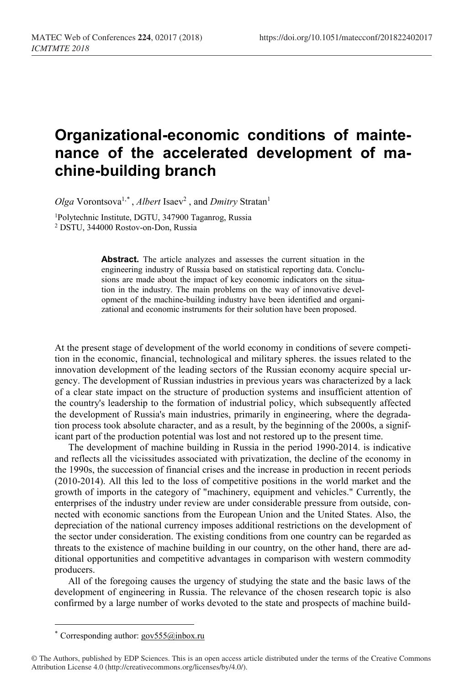## **Organizational-economic conditions of maintenance of the accelerated development of machine-building branch**

*Olga* Vorontsova<sup>1,[\\*](#page-0-0)</sup>, *Albert* Isaev<sup>2</sup>, and *Dmitry* Stratan<sup>1</sup>

1Polytechnic Institute, DGTU, 347900 Taganrog, Russia <sup>2</sup> DSTU, 344000 Rostov-on-Don, Russia

> **Abstract.** The article analyzes and assesses the current situation in the engineering industry of Russia based on statistical reporting data. Conclusions are made about the impact of key economic indicators on the situation in the industry. The main problems on the way of innovative development of the machine-building industry have been identified and organizational and economic instruments for their solution have been proposed.

At the present stage of development of the world economy in conditions of severe competition in the economic, financial, technological and military spheres. the issues related to the innovation development of the leading sectors of the Russian economy acquire special urgency. The development of Russian industries in previous years was characterized by a lack of a clear state impact on the structure of production systems and insufficient attention of the country's leadership to the formation of industrial policy, which subsequently affected the development of Russia's main industries, primarily in engineering, where the degradation process took absolute character, and as a result, by the beginning of the 2000s, a significant part of the production potential was lost and not restored up to the present time.

The development of machine building in Russia in the period 1990-2014. is indicative and reflects all the vicissitudes associated with privatization, the decline of the economy in the 1990s, the succession of financial crises and the increase in production in recent periods (2010-2014). All this led to the loss of competitive positions in the world market and the growth of imports in the category of "machinery, equipment and vehicles." Currently, the enterprises of the industry under review are under considerable pressure from outside, connected with economic sanctions from the European Union and the United States. Also, the depreciation of the national currency imposes additional restrictions on the development of the sector under consideration. The existing conditions from one country can be regarded as threats to the existence of machine building in our country, on the other hand, there are additional opportunities and competitive advantages in comparison with western commodity producers.

All of the foregoing causes the urgency of studying the state and the basic laws of the development of engineering in Russia. The relevance of the chosen research topic is also confirmed by a large number of works devoted to the state and prospects of machine build-

 $\overline{a}$ 

<sup>\*</sup> Corresponding author:  $gov555$ @inbox.ru

<span id="page-0-0"></span><sup>©</sup> The Authors, published by EDP Sciences. This is an open access article distributed under the terms of the Creative Commons Attribution License 4.0 (http://creativecommons.org/licenses/by/4.0/).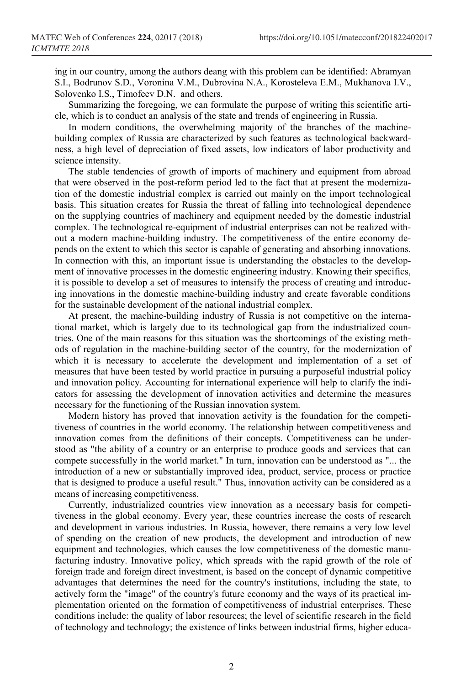ing in our country, among the authors deang with this problem can be identified: Abramyan S.I., Bodrunov S.D., Voronina V.M., Dubrovina N.A., Korosteleva E.M., Mukhanova I.V., Solovenko I.S., Timofeev D.N. and others.

Summarizing the foregoing, we can formulate the purpose of writing this scientific article, which is to conduct an analysis of the state and trends of engineering in Russia.

In modern conditions, the overwhelming majority of the branches of the machinebuilding complex of Russia are characterized by such features as technological backwardness, a high level of depreciation of fixed assets, low indicators of labor productivity and science intensity.

The stable tendencies of growth of imports of machinery and equipment from abroad that were observed in the post-reform period led to the fact that at present the modernization of the domestic industrial complex is carried out mainly on the import technological basis. This situation creates for Russia the threat of falling into technological dependence on the supplying countries of machinery and equipment needed by the domestic industrial complex. The technological re-equipment of industrial enterprises can not be realized without a modern machine-building industry. The competitiveness of the entire economy depends on the extent to which this sector is capable of generating and absorbing innovations. In connection with this, an important issue is understanding the obstacles to the development of innovative processes in the domestic engineering industry. Knowing their specifics, it is possible to develop a set of measures to intensify the process of creating and introducing innovations in the domestic machine-building industry and create favorable conditions for the sustainable development of the national industrial complex.

At present, the machine-building industry of Russia is not competitive on the international market, which is largely due to its technological gap from the industrialized countries. One of the main reasons for this situation was the shortcomings of the existing methods of regulation in the machine-building sector of the country, for the modernization of which it is necessary to accelerate the development and implementation of a set of measures that have been tested by world practice in pursuing a purposeful industrial policy and innovation policy. Accounting for international experience will help to clarify the indicators for assessing the development of innovation activities and determine the measures necessary for the functioning of the Russian innovation system.

Modern history has proved that innovation activity is the foundation for the competitiveness of countries in the world economy. The relationship between competitiveness and innovation comes from the definitions of their concepts. Competitiveness can be understood as "the ability of a country or an enterprise to produce goods and services that can compete successfully in the world market." In turn, innovation can be understood as "... the introduction of a new or substantially improved idea, product, service, process or practice that is designed to produce a useful result." Thus, innovation activity can be considered as a means of increasing competitiveness.

Currently, industrialized countries view innovation as a necessary basis for competitiveness in the global economy. Every year, these countries increase the costs of research and development in various industries. In Russia, however, there remains a very low level of spending on the creation of new products, the development and introduction of new equipment and technologies, which causes the low competitiveness of the domestic manufacturing industry. Innovative policy, which spreads with the rapid growth of the role of foreign trade and foreign direct investment, is based on the concept of dynamic competitive advantages that determines the need for the country's institutions, including the state, to actively form the "image" of the country's future economy and the ways of its practical implementation oriented on the formation of competitiveness of industrial enterprises. These conditions include: the quality of labor resources; the level of scientific research in the field of technology and technology; the existence of links between industrial firms, higher educa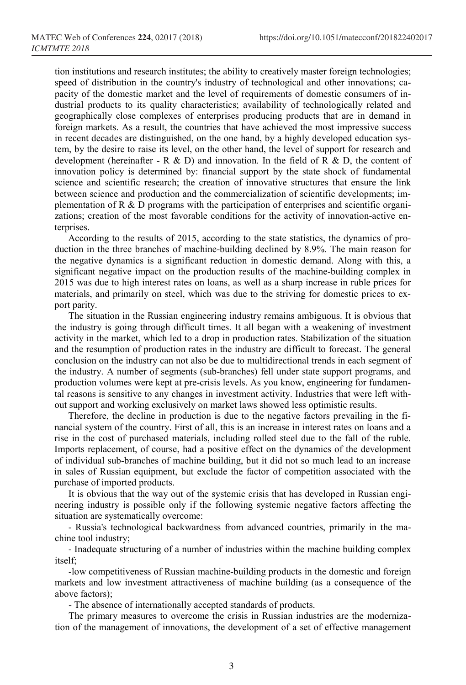tion institutions and research institutes; the ability to creatively master foreign technologies; speed of distribution in the country's industry of technological and other innovations; capacity of the domestic market and the level of requirements of domestic consumers of industrial products to its quality characteristics; availability of technologically related and geographically close complexes of enterprises producing products that are in demand in foreign markets. As a result, the countries that have achieved the most impressive success in recent decades are distinguished, on the one hand, by a highly developed education system, by the desire to raise its level, on the other hand, the level of support for research and development (hereinafter - R & D) and innovation. In the field of R & D, the content of innovation policy is determined by: financial support by the state shock of fundamental science and scientific research; the creation of innovative structures that ensure the link between science and production and the commercialization of scientific developments; implementation of R  $\&$  D programs with the participation of enterprises and scientific organizations; creation of the most favorable conditions for the activity of innovation-active enterprises.

According to the results of 2015, according to the state statistics, the dynamics of production in the three branches of machine-building declined by 8.9%. The main reason for the negative dynamics is a significant reduction in domestic demand. Along with this, a significant negative impact on the production results of the machine-building complex in 2015 was due to high interest rates on loans, as well as a sharp increase in ruble prices for materials, and primarily on steel, which was due to the striving for domestic prices to export parity.

The situation in the Russian engineering industry remains ambiguous. It is obvious that the industry is going through difficult times. It all began with a weakening of investment activity in the market, which led to a drop in production rates. Stabilization of the situation and the resumption of production rates in the industry are difficult to forecast. The general conclusion on the industry can not also be due to multidirectional trends in each segment of the industry. A number of segments (sub-branches) fell under state support programs, and production volumes were kept at pre-crisis levels. As you know, engineering for fundamental reasons is sensitive to any changes in investment activity. Industries that were left without support and working exclusively on market laws showed less optimistic results.

Therefore, the decline in production is due to the negative factors prevailing in the financial system of the country. First of all, this is an increase in interest rates on loans and a rise in the cost of purchased materials, including rolled steel due to the fall of the ruble. Imports replacement, of course, had a positive effect on the dynamics of the development of individual sub-branches of machine building, but it did not so much lead to an increase in sales of Russian equipment, but exclude the factor of competition associated with the purchase of imported products.

It is obvious that the way out of the systemic crisis that has developed in Russian engineering industry is possible only if the following systemic negative factors affecting the situation are systematically overcome:

- Russia's technological backwardness from advanced countries, primarily in the machine tool industry;

- Inadequate structuring of a number of industries within the machine building complex itself;

-low competitiveness of Russian machine-building products in the domestic and foreign markets and low investment attractiveness of machine building (as a consequence of the above factors);

- The absence of internationally accepted standards of products.

The primary measures to overcome the crisis in Russian industries are the modernization of the management of innovations, the development of a set of effective management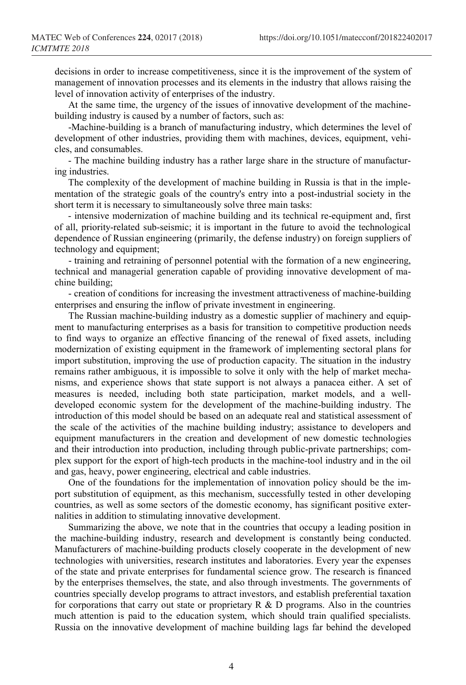decisions in order to increase competitiveness, since it is the improvement of the system of management of innovation processes and its elements in the industry that allows raising the level of innovation activity of enterprises of the industry.

At the same time, the urgency of the issues of innovative development of the machinebuilding industry is caused by a number of factors, such as:

-Machine-building is a branch of manufacturing industry, which determines the level of development of other industries, providing them with machines, devices, equipment, vehicles, and consumables.

- The machine building industry has a rather large share in the structure of manufacturing industries.

The complexity of the development of machine building in Russia is that in the implementation of the strategic goals of the country's entry into a post-industrial society in the short term it is necessary to simultaneously solve three main tasks:

- intensive modernization of machine building and its technical re-equipment and, first of all, priority-related sub-seismic; it is important in the future to avoid the technological dependence of Russian engineering (primarily, the defense industry) on foreign suppliers of technology and equipment;

- training and retraining of personnel potential with the formation of a new engineering, technical and managerial generation capable of providing innovative development of machine building;

- creation of conditions for increasing the investment attractiveness of machine-building enterprises and ensuring the inflow of private investment in engineering.

The Russian machine-building industry as a domestic supplier of machinery and equipment to manufacturing enterprises as a basis for transition to competitive production needs to find ways to organize an effective financing of the renewal of fixed assets, including modernization of existing equipment in the framework of implementing sectoral plans for import substitution, improving the use of production capacity. The situation in the industry remains rather ambiguous, it is impossible to solve it only with the help of market mechanisms, and experience shows that state support is not always a panacea either. A set of measures is needed, including both state participation, market models, and a welldeveloped economic system for the development of the machine-building industry. The introduction of this model should be based on an adequate real and statistical assessment of the scale of the activities of the machine building industry; assistance to developers and equipment manufacturers in the creation and development of new domestic technologies and their introduction into production, including through public-private partnerships; complex support for the export of high-tech products in the machine-tool industry and in the oil and gas, heavy, power engineering, electrical and cable industries.

One of the foundations for the implementation of innovation policy should be the import substitution of equipment, as this mechanism, successfully tested in other developing countries, as well as some sectors of the domestic economy, has significant positive externalities in addition to stimulating innovative development.

Summarizing the above, we note that in the countries that occupy a leading position in the machine-building industry, research and development is constantly being conducted. Manufacturers of machine-building products closely cooperate in the development of new technologies with universities, research institutes and laboratories. Every year the expenses of the state and private enterprises for fundamental science grow. The research is financed by the enterprises themselves, the state, and also through investments. The governments of countries specially develop programs to attract investors, and establish preferential taxation for corporations that carry out state or proprietary  $R & D$  programs. Also in the countries much attention is paid to the education system, which should train qualified specialists. Russia on the innovative development of machine building lags far behind the developed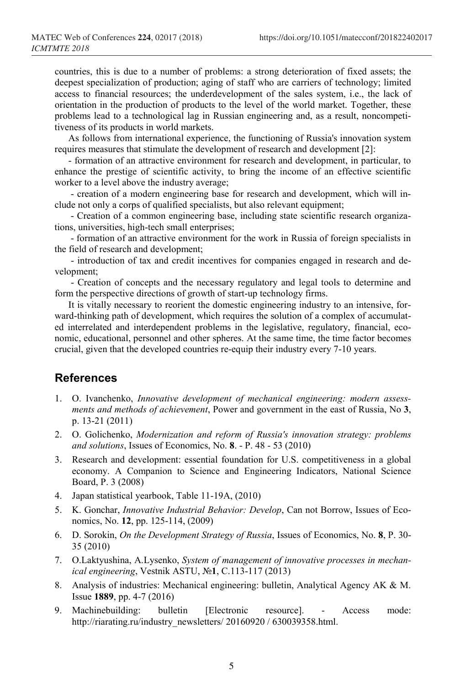countries, this is due to a number of problems: a strong deterioration of fixed assets; the deepest specialization of production; aging of staff who are carriers of technology; limited access to financial resources; the underdevelopment of the sales system, i.e., the lack of orientation in the production of products to the level of the world market. Together, these problems lead to a technological lag in Russian engineering and, as a result, noncompetitiveness of its products in world markets.

As follows from international experience, the functioning of Russia's innovation system requires measures that stimulate the development of research and development [2]:

- formation of an attractive environment for research and development, in particular, to enhance the prestige of scientific activity, to bring the income of an effective scientific worker to a level above the industry average;

- creation of a modern engineering base for research and development, which will include not only a corps of qualified specialists, but also relevant equipment;

- Creation of a common engineering base, including state scientific research organizations, universities, high-tech small enterprises;

- formation of an attractive environment for the work in Russia of foreign specialists in the field of research and development;

- introduction of tax and credit incentives for companies engaged in research and development;

- Creation of concepts and the necessary regulatory and legal tools to determine and form the perspective directions of growth of start-up technology firms.

It is vitally necessary to reorient the domestic engineering industry to an intensive, forward-thinking path of development, which requires the solution of a complex of accumulated interrelated and interdependent problems in the legislative, regulatory, financial, economic, educational, personnel and other spheres. At the same time, the time factor becomes crucial, given that the developed countries re-equip their industry every 7-10 years.

## **References**

- 1. O. Ivanchenko, *Innovative development of mechanical engineering: modern assessments and methods of achievement*, Power and government in the east of Russia, No **3**, p. 13-21 (2011)
- 2. O. Golichenko, *Modernization and reform of Russia's innovation strategy: problems and solutions*, Issues of Economics, No. **8**. - P. 48 - 53 (2010)
- 3. Research and development: essential foundation for U.S. competitiveness in a global economy. A Companion to Science and Engineering Indicators, National Science Board, P. 3 (2008)
- 4. Japan statistical yearbook, Table 11-19A, (2010)
- 5. K. Gonchar, *Innovative Industrial Behavior: Develop*, Can not Borrow, Issues of Economics, No. **12**, pp. 125-114, (2009)
- 6. D. Sorokin, *On the Development Strategy of Russia*, Issues of Economics, No. **8**, P. 30- 35 (2010)
- 7. O.Laktyushina, A.Lysenko, *System of management of innovative processes in mechanical engineering*, Vestnik ASTU, №**1**, С.113-117 (2013)
- 8. Analysis of industries: Mechanical engineering: bulletin, Analytical Agency AK & M. Issue **1889**, pp. 4-7 (2016)
- 9. Machinebuilding: bulletin [Electronic resource]. Access mode: http://riarating.ru/industry\_newsletters/ 20160920 / 630039358.html.